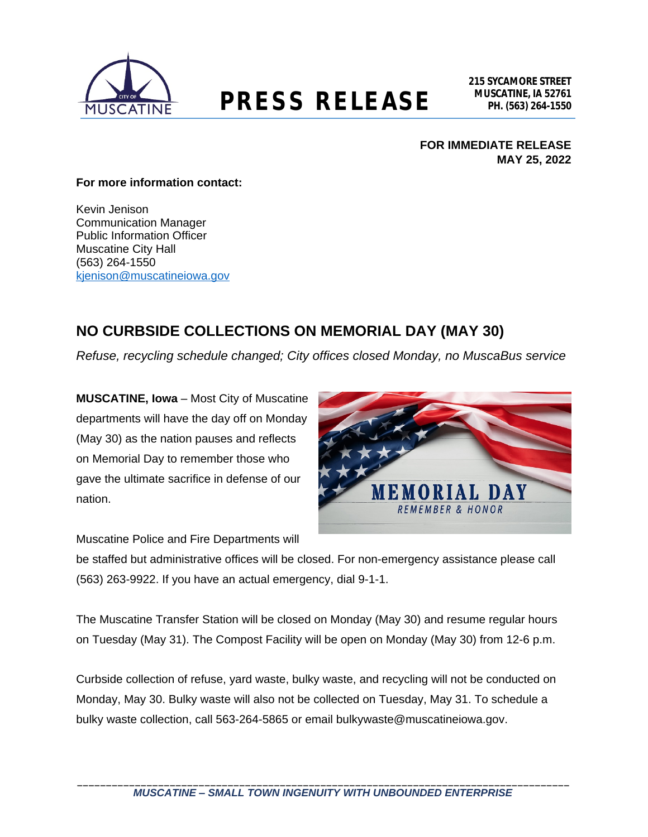

## **MUSCATINE, IA 52761 PRESS RELEASE PH. (563) 264-1550**

#### **FOR IMMEDIATE RELEASE MAY 25, 2022**

#### **For more information contact:**

Kevin Jenison Communication Manager Public Information Officer Muscatine City Hall (563) 264-1550 [kjenison@muscatineiowa.gov](mailto:kjenison@muscatineiowa.gov)

### **NO CURBSIDE COLLECTIONS ON MEMORIAL DAY (MAY 30)**

*Refuse, recycling schedule changed; City offices closed Monday, no MuscaBus service*

**MUSCATINE, Iowa** – Most City of Muscatine departments will have the day off on Monday (May 30) as the nation pauses and reflects on Memorial Day to remember those who gave the ultimate sacrifice in defense of our nation.



Muscatine Police and Fire Departments will

be staffed but administrative offices will be closed. For non-emergency assistance please call (563) 263-9922. If you have an actual emergency, dial 9-1-1.

The Muscatine Transfer Station will be closed on Monday (May 30) and resume regular hours on Tuesday (May 31). The Compost Facility will be open on Monday (May 30) from 12-6 p.m.

Curbside collection of refuse, yard waste, bulky waste, and recycling will not be conducted on Monday, May 30. Bulky waste will also not be collected on Tuesday, May 31. To schedule a bulky waste collection, call 563-264-5865 or email bulkywaste@muscatineiowa.gov.